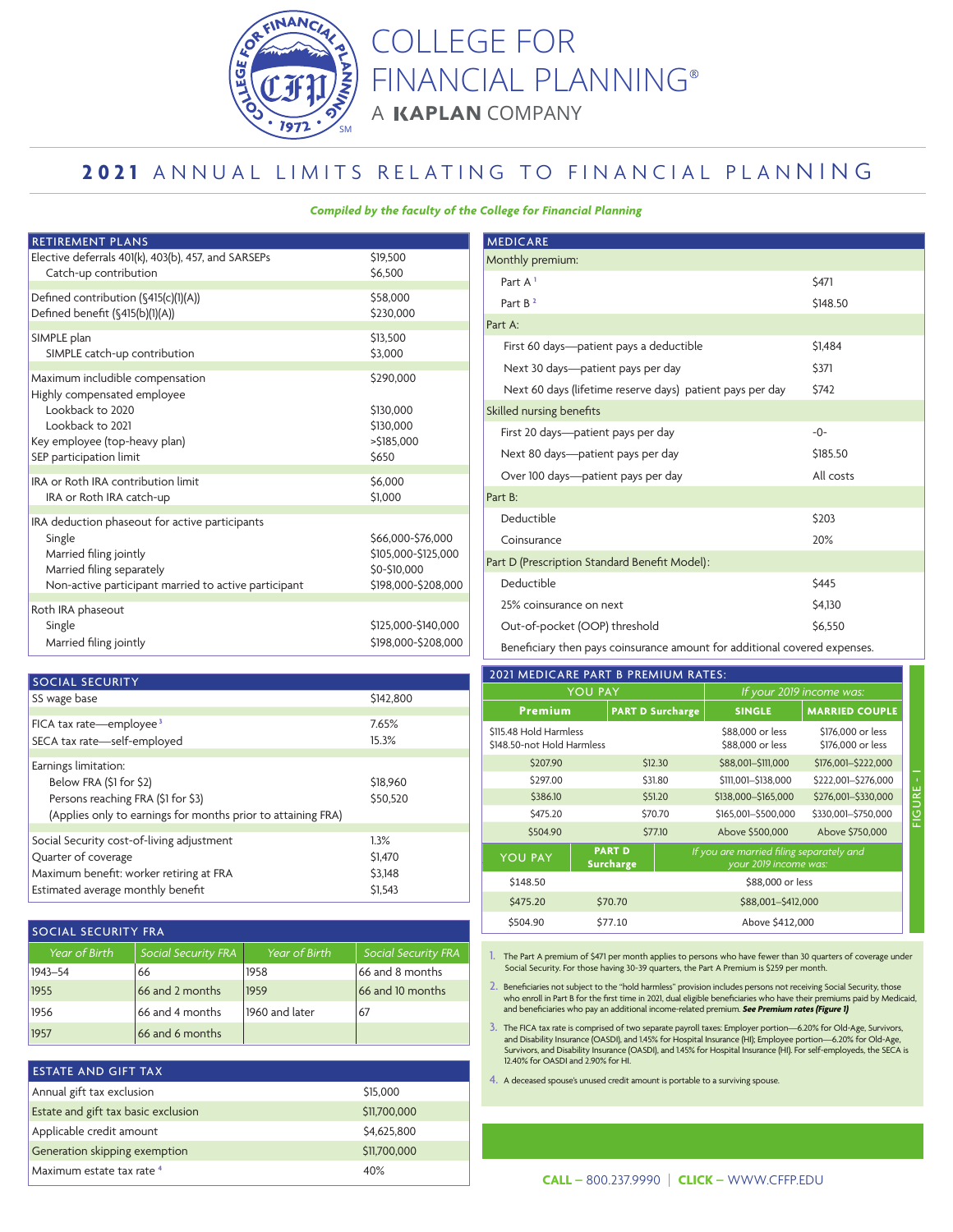

COLLEGE FOR FINANCIAL PLANNING A KAPLAN COMPANY

## 2021 ANNUAL LIMITS RELATING TO FINANCIAL PLANNING

## *Compiled by the faculty of the College for Financial Planning*

| <b>RETIREMENT PLANS</b>                                                                                                                                                 |                                                                                 |
|-------------------------------------------------------------------------------------------------------------------------------------------------------------------------|---------------------------------------------------------------------------------|
| Elective deferrals 401(k), 403(b), 457, and SARSEPs                                                                                                                     | \$19,500                                                                        |
| Catch-up contribution                                                                                                                                                   | \$6,500                                                                         |
| Defined contribution (§415(c)(1)(A))                                                                                                                                    | \$58,000                                                                        |
| Defined benefit (§415(b)(1)(A))                                                                                                                                         | \$230,000                                                                       |
| SIMPLE plan                                                                                                                                                             | \$13,500                                                                        |
| SIMPLE catch-up contribution                                                                                                                                            | \$3,000                                                                         |
| Maximum includible compensation<br>Highly compensated employee<br>Lookback to 2020<br>Lookback to 2021<br>Key employee (top-heavy plan)<br>SEP participation limit      | \$290,000<br>\$130,000<br>\$130,000<br>>\$185,000<br>\$650                      |
| IRA or Roth IRA contribution limit                                                                                                                                      | \$6,000                                                                         |
| IRA or Roth IRA catch-up                                                                                                                                                | \$1,000                                                                         |
| IRA deduction phaseout for active participants<br>Single<br>Married filing jointly<br>Married filing separately<br>Non-active participant married to active participant | \$66,000-\$76,000<br>\$105,000-\$125,000<br>\$0-\$10,000<br>\$198,000-\$208,000 |
| Roth IRA phaseout<br>Single<br>Married filing jointly                                                                                                                   | \$125,000-\$140,000<br>\$198,000-\$208,000                                      |

| <b>SOCIAL SECURITY</b>                                       |           |
|--------------------------------------------------------------|-----------|
| SS wage base                                                 | \$142,800 |
|                                                              |           |
| FICA tax rate—employee <sup>3</sup>                          | 7.65%     |
| SECA tax rate-self-employed                                  | 15.3%     |
|                                                              |           |
| Earnings limitation:                                         |           |
| Below FRA (\$1 for \$2)                                      | S18,960   |
| Persons reaching FRA (\$1 for \$3)                           | \$50,520  |
| (Applies only to earnings for months prior to attaining FRA) |           |
|                                                              |           |
| Social Security cost-of-living adjustment                    | 1.3%      |
| Quarter of coverage                                          | \$1,470   |
| Maximum benefit: worker retiring at FRA                      | \$3,148   |
| Estimated average monthly benefit                            | \$1,543   |
|                                                              |           |

| <b>SOCIAL SECURITY FRA</b> |                            |                |                            |  |
|----------------------------|----------------------------|----------------|----------------------------|--|
| Year of Birth              | <b>Social Security FRA</b> | Year of Birth  | <b>Social Security FRA</b> |  |
| $1943 - 54$                | 66                         | 1958           | 66 and 8 months            |  |
| 1955                       | 66 and 2 months            | 1959           | 66 and 10 months           |  |
| 1956                       | 66 and 4 months            | 1960 and later | 67                         |  |
| 1957                       | 66 and 6 months            |                |                            |  |

| <b>ESTATE AND GIFT TAX</b>          |              |
|-------------------------------------|--------------|
| Annual gift tax exclusion           | \$15,000     |
| Estate and gift tax basic exclusion | \$11,700,000 |
| Applicable credit amount            | \$4,625,800  |
| Generation skipping exemption       | \$11,700,000 |
| Maximum estate tax rate 4           | 40%          |

| <b>MEDICARE</b>                                           |              |
|-----------------------------------------------------------|--------------|
| Monthly premium:                                          |              |
| Part A <sup>1</sup>                                       | \$471        |
| Part B <sup>2</sup>                                       | \$148.50     |
| Part A:                                                   |              |
| First 60 days—patient pays a deductible                   | \$1,484      |
| Next 30 days—patient pays per day                         | \$371        |
| Next 60 days (lifetime reserve days) patient pays per day | \$742        |
| Skilled nursing benefits                                  |              |
| First 20 days-patient pays per day                        | $-0-$        |
| Next 80 days—patient pays per day                         | \$185.50     |
| Over 100 days—patient pays per day                        | All costs    |
| Part B:                                                   |              |
| Deductible                                                | \$203        |
| Coinsurance                                               | 20%          |
| Part D (Prescription Standard Benefit Model):             |              |
| Deductible                                                | <b>\$445</b> |
| 25% coinsurance on next                                   | \$4,130      |
| Out-of-pocket (OOP) threshold                             | \$6,550      |

Beneficiary then pays coinsurance amount for additional covered expenses.

| 2021 MEDICARE PART B PREMIUM RATES:                  |                                   |                         |                                                                   |                                        |  |
|------------------------------------------------------|-----------------------------------|-------------------------|-------------------------------------------------------------------|----------------------------------------|--|
|                                                      | <b>YOU PAY</b>                    |                         |                                                                   | If your 2019 income was:               |  |
| <b>Premium</b>                                       |                                   | <b>PART D Surcharge</b> | <b>SINGLE</b>                                                     | <b>MARRIED COUPLE</b>                  |  |
| \$115.48 Hold Harmless<br>\$148.50-not Hold Harmless |                                   |                         | \$88,000 or less<br>\$88,000 or less                              | \$176,000 or less<br>\$176,000 or less |  |
| \$207.90                                             |                                   | \$12.30                 | \$88,001-\$111,000                                                | \$176,001-\$222,000                    |  |
| \$297.00                                             |                                   | \$31.80                 | \$111,001-\$138,000                                               | \$222,001-\$276,000                    |  |
| \$386.10                                             |                                   | \$51.20                 | \$138,000-\$165,000                                               | \$276,001-\$330,000                    |  |
| \$475.20                                             |                                   | \$70.70                 | \$165,001-\$500,000                                               | \$330,001 - \$750,000                  |  |
| \$504.90                                             |                                   | \$77.10                 | Above \$500,000                                                   | Above \$750,000                        |  |
| <b>YOU PAY</b>                                       | <b>PART D</b><br><b>Surcharge</b> |                         | If you are married filing separately and<br>your 2019 income was: |                                        |  |
| \$148.50                                             |                                   |                         | \$88,000 or less                                                  |                                        |  |
| \$475.20                                             | \$70.70                           | \$88,001-\$412,000      |                                                                   |                                        |  |
| \$504.90                                             | \$77.10                           | Above \$412,000         |                                                                   |                                        |  |

1. The Part A premium of \$471 per month applies to persons who have fewer than 30 quarters of coverage under Social Security. For those having 30-39 quarters, the Part A Premium is \$259 per month.

2. Beneficiaries not subject to the "hold harmless" provision includes persons not receiving Social Security, those<br>who enroll in Part B for the first time in 2021, dual eligible beneficiaries who have their premiums paid and beneficiaries who pay an additional income-related premium. See Premium rates (Figure 1)

3. The FICA tax rate is comprised of two separate payroll taxes: Employer portion—6.20% for Old-Age, Survivors, and Disability Insurance (OASDI), and 1.45% for Hospital Insurance (HI); Employee portion—6.20% for Old-Age, Survivors, and Disability Insurance (OASDI), and 1.45% for Hospital Insurance (HI). For self-employeds, the SECA is 12.40% for OASDI and 2.90% for HI.

4. A deceased spouse's unused credit amount is portable to a surviving spouse.